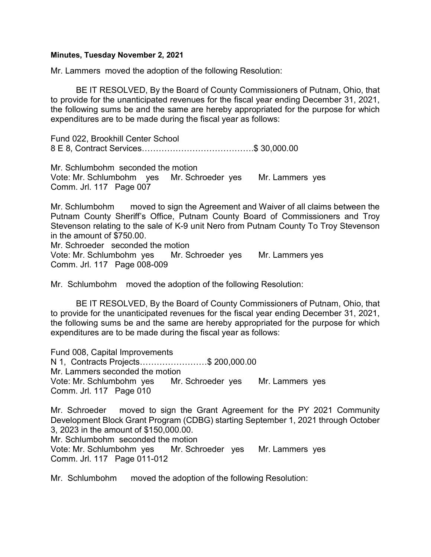## Minutes, Tuesday November 2, 2021

Mr. Lammers moved the adoption of the following Resolution:

 BE IT RESOLVED, By the Board of County Commissioners of Putnam, Ohio, that to provide for the unanticipated revenues for the fiscal year ending December 31, 2021, the following sums be and the same are hereby appropriated for the purpose for which expenditures are to be made during the fiscal year as follows:

Fund 022, Brookhill Center School 8 E 8, Contract Services………………………………….\$ 30,000.00

Mr. Schlumbohm seconded the motion Vote: Mr. Schlumbohm yes Mr. Schroeder yes Mr. Lammers yes Comm. Jrl. 117 Page 007

Mr. Schlumbohm moved to sign the Agreement and Waiver of all claims between the Putnam County Sheriff's Office, Putnam County Board of Commissioners and Troy Stevenson relating to the sale of K-9 unit Nero from Putnam County To Troy Stevenson in the amount of \$750.00. Mr. Schroeder seconded the motion

Vote: Mr. Schlumbohm yes Mr. Schroeder yes Mr. Lammers yes Comm. Jrl. 117 Page 008-009

Mr. Schlumbohm moved the adoption of the following Resolution:

 BE IT RESOLVED, By the Board of County Commissioners of Putnam, Ohio, that to provide for the unanticipated revenues for the fiscal year ending December 31, 2021, the following sums be and the same are hereby appropriated for the purpose for which expenditures are to be made during the fiscal year as follows:

Fund 008, Capital Improvements N 1, Contracts Projects……………………\$ 200,000.00 Mr. Lammers seconded the motion Vote: Mr. Schlumbohm yes Mr. Schroeder yes Mr. Lammers yes Comm. Jrl. 117 Page 010

Mr. Schroeder moved to sign the Grant Agreement for the PY 2021 Community Development Block Grant Program (CDBG) starting September 1, 2021 through October 3, 2023 in the amount of \$150,000.00.

Mr. Schlumbohm seconded the motion Vote: Mr. Schlumbohm yes Mr. Schroeder yes Mr. Lammers yes Comm. Jrl. 117 Page 011-012

Mr. Schlumbohm moved the adoption of the following Resolution: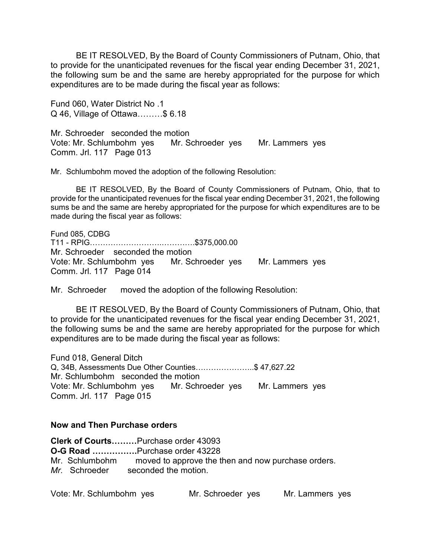BE IT RESOLVED, By the Board of County Commissioners of Putnam, Ohio, that to provide for the unanticipated revenues for the fiscal year ending December 31, 2021, the following sum be and the same are hereby appropriated for the purpose for which expenditures are to be made during the fiscal year as follows:

Fund 060, Water District No .1 Q 46, Village of Ottawa………\$ 6.18

Mr. Schroeder seconded the motion Vote: Mr. Schlumbohm yes Mr. Schroeder yes Mr. Lammers yes Comm. Jrl. 117 Page 013

Mr. Schlumbohm moved the adoption of the following Resolution:

 BE IT RESOLVED, By the Board of County Commissioners of Putnam, Ohio, that to provide for the unanticipated revenues for the fiscal year ending December 31, 2021, the following sums be and the same are hereby appropriated for the purpose for which expenditures are to be made during the fiscal year as follows:

Fund 085, CDBG T11 - RPIG……………………….………….\$375,000.00 Mr. Schroeder seconded the motion Vote: Mr. Schlumbohm yes Mr. Schroeder yes Mr. Lammers yes Comm. Jrl. 117 Page 014

Mr. Schroeder moved the adoption of the following Resolution:

 BE IT RESOLVED, By the Board of County Commissioners of Putnam, Ohio, that to provide for the unanticipated revenues for the fiscal year ending December 31, 2021, the following sums be and the same are hereby appropriated for the purpose for which expenditures are to be made during the fiscal year as follows:

Fund 018, General Ditch Q, 34B, Assessments Due Other Counties…………………..\$ 47,627.22 Mr. Schlumbohm seconded the motion Vote: Mr. Schlumbohm yes Mr. Schroeder yes Mr. Lammers yes Comm. Jrl. 117 Page 015

## Now and Then Purchase orders

| Clerk of CourtsPurchase order 43093 |  |                                                                   |  |  |  |  |  |
|-------------------------------------|--|-------------------------------------------------------------------|--|--|--|--|--|
|                                     |  | <b>O-G Road </b> Purchase order 43228                             |  |  |  |  |  |
|                                     |  | Mr. Schlumbohm moved to approve the then and now purchase orders. |  |  |  |  |  |
|                                     |  | Mr. Schroeder seconded the motion.                                |  |  |  |  |  |

| Vote: Mr. Schlumbohm ves |  | Mr. Schroeder ves |  | Mr. Lammers yes |  |
|--------------------------|--|-------------------|--|-----------------|--|
|--------------------------|--|-------------------|--|-----------------|--|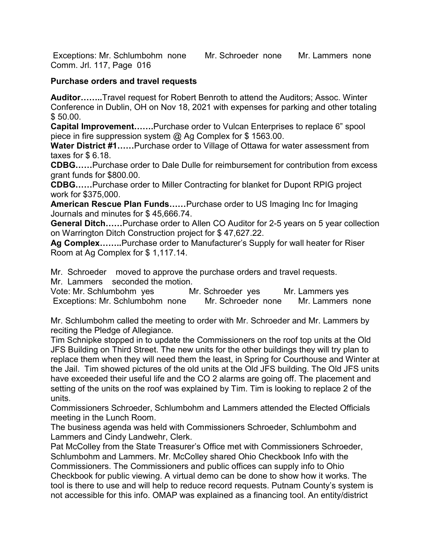Exceptions: Mr. Schlumbohm none Mr. Schroeder none Mr. Lammers none Comm. Jrl. 117, Page 016

## Purchase orders and travel requests

Auditor……..Travel request for Robert Benroth to attend the Auditors; Assoc. Winter Conference in Dublin, OH on Nov 18, 2021 with expenses for parking and other totaling \$ 50.00.

Capital Improvement…….Purchase order to Vulcan Enterprises to replace 6" spool piece in fire suppression system @ Ag Complex for \$ 1563.00.

Water District #1......Purchase order to Village of Ottawa for water assessment from taxes for \$ 6.18.

CDBG……Purchase order to Dale Dulle for reimbursement for contribution from excess grant funds for \$800.00.

CDBG……Purchase order to Miller Contracting for blanket for Dupont RPIG project work for \$375,000.

American Rescue Plan Funds……Purchase order to US Imaging Inc for Imaging Journals and minutes for \$ 45,666.74.

General Ditch……Purchase order to Allen CO Auditor for 2-5 years on 5 year collection on Warrington Ditch Construction project for \$ 47,627.22.

Ag Complex……..Purchase order to Manufacturer's Supply for wall heater for Riser Room at Ag Complex for \$ 1,117.14.

Mr. Schroeder moved to approve the purchase orders and travel requests.

Mr. Lammers seconded the motion.

Vote: Mr. Schlumbohm yes Mr. Schroeder yes Mr. Lammers yes Exceptions: Mr. Schlumbohm none Mr. Schroeder none Mr. Lammers none

Mr. Schlumbohm called the meeting to order with Mr. Schroeder and Mr. Lammers by reciting the Pledge of Allegiance.

Tim Schnipke stopped in to update the Commissioners on the roof top units at the Old JFS Building on Third Street. The new units for the other buildings they will try plan to replace them when they will need them the least, in Spring for Courthouse and Winter at the Jail. Tim showed pictures of the old units at the Old JFS building. The Old JFS units have exceeded their useful life and the CO 2 alarms are going off. The placement and setting of the units on the roof was explained by Tim. Tim is looking to replace 2 of the units.

Commissioners Schroeder, Schlumbohm and Lammers attended the Elected Officials meeting in the Lunch Room.

The business agenda was held with Commissioners Schroeder, Schlumbohm and Lammers and Cindy Landwehr, Clerk.

Pat McColley from the State Treasurer's Office met with Commissioners Schroeder, Schlumbohm and Lammers. Mr. McColley shared Ohio Checkbook Info with the Commissioners. The Commissioners and public offices can supply info to Ohio Checkbook for public viewing. A virtual demo can be done to show how it works. The tool is there to use and will help to reduce record requests. Putnam County's system is not accessible for this info. OMAP was explained as a financing tool. An entity/district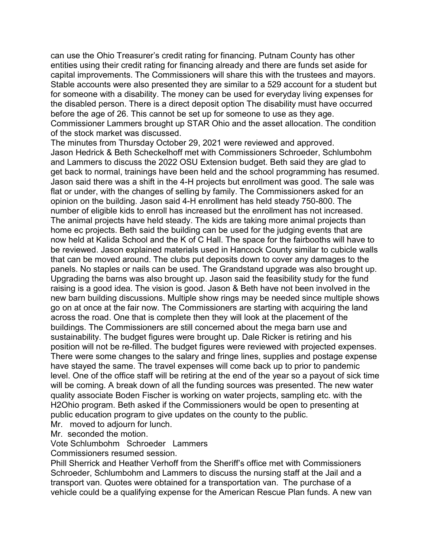can use the Ohio Treasurer's credit rating for financing. Putnam County has other entities using their credit rating for financing already and there are funds set aside for capital improvements. The Commissioners will share this with the trustees and mayors. Stable accounts were also presented they are similar to a 529 account for a student but for someone with a disability. The money can be used for everyday living expenses for the disabled person. There is a direct deposit option The disability must have occurred before the age of 26. This cannot be set up for someone to use as they age. Commissioner Lammers brought up STAR Ohio and the asset allocation. The condition of the stock market was discussed.

The minutes from Thursday October 29, 2021 were reviewed and approved. Jason Hedrick & Beth Scheckelhoff met with Commissioners Schroeder, Schlumbohm and Lammers to discuss the 2022 OSU Extension budget. Beth said they are glad to get back to normal, trainings have been held and the school programming has resumed. Jason said there was a shift in the 4-H projects but enrollment was good. The sale was flat or under, with the changes of selling by family. The Commissioners asked for an opinion on the building. Jason said 4-H enrollment has held steady 750-800. The number of eligible kids to enroll has increased but the enrollment has not increased. The animal projects have held steady. The kids are taking more animal projects than home ec projects. Beth said the building can be used for the judging events that are now held at Kalida School and the K of C Hall. The space for the fairbooths will have to be reviewed. Jason explained materials used in Hancock County similar to cubicle walls that can be moved around. The clubs put deposits down to cover any damages to the panels. No staples or nails can be used. The Grandstand upgrade was also brought up. Upgrading the barns was also brought up. Jason said the feasibility study for the fund raising is a good idea. The vision is good. Jason & Beth have not been involved in the new barn building discussions. Multiple show rings may be needed since multiple shows go on at once at the fair now. The Commissioners are starting with acquiring the land across the road. One that is complete then they will look at the placement of the buildings. The Commissioners are still concerned about the mega barn use and sustainability. The budget figures were brought up. Dale Ricker is retiring and his position will not be re-filled. The budget figures were reviewed with projected expenses. There were some changes to the salary and fringe lines, supplies and postage expense have stayed the same. The travel expenses will come back up to prior to pandemic level. One of the office staff will be retiring at the end of the year so a payout of sick time will be coming. A break down of all the funding sources was presented. The new water quality associate Boden Fischer is working on water projects, sampling etc. with the H2Ohio program. Beth asked if the Commissioners would be open to presenting at public education program to give updates on the county to the public.

Mr. moved to adjourn for lunch.

Mr. seconded the motion.

Vote Schlumbohm Schroeder Lammers

Commissioners resumed session.

Phill Sherrick and Heather Verhoff from the Sheriff's office met with Commissioners Schroeder, Schlumbohm and Lammers to discuss the nursing staff at the Jail and a transport van. Quotes were obtained for a transportation van. The purchase of a vehicle could be a qualifying expense for the American Rescue Plan funds. A new van